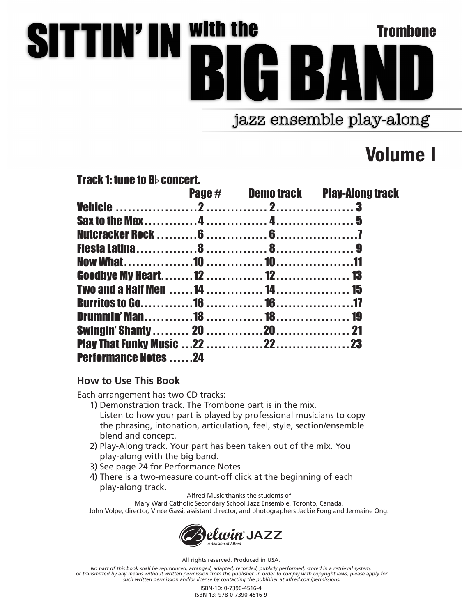## **SITTIN'IN With the** Trombone 134 jazz ensemble play-along

Volume I

Track 1: tune to  $B<sub>b</sub>$  concert.

|                             |  | <b>Page # Demo track Play-Along track</b> |
|-----------------------------|--|-------------------------------------------|
|                             |  |                                           |
|                             |  |                                           |
|                             |  |                                           |
|                             |  |                                           |
|                             |  |                                           |
|                             |  |                                           |
|                             |  |                                           |
|                             |  |                                           |
|                             |  |                                           |
|                             |  |                                           |
|                             |  |                                           |
| <b>Performance Notes 24</b> |  |                                           |

## **How to Use This Book**

Each arrangement has two CD tracks:

- 1) Demonstration track. The Trombone part is in the mix. Listen to how your part is played by professional musicians to copy the phrasing, intonation, articulation, feel, style, section/ensemble blend and concept.
- 2) Play-Along track. Your part has been taken out of the mix. You play-along with the big band.
- 3) See page 24 for Performance Notes
- 4) There is a two-measure count-off click at the beginning of each play-along track.

Alfred Music thanks the students of

Mary Ward Catholic Secondary School Jazz Ensemble, Toronto, Canada, John Volpe, director, Vince Gassi, assistant director, and photographers Jackie Fong and Jermaine Ong.



All rights reserved. Produced in USA.

*No part of this book shall be reproduced, arranged, adapted, recorded, publicly performed, stored in a retrieval system,* or transmitted by any means without written permission from the publisher. In order to comply with copyright laws, please apply for<br>such written permission and/or license by contacting the publisher at alfred.com/permissio

> ISBN-10: 0-7390-4516-4 ISBN-13: 978-0-7390-4516-9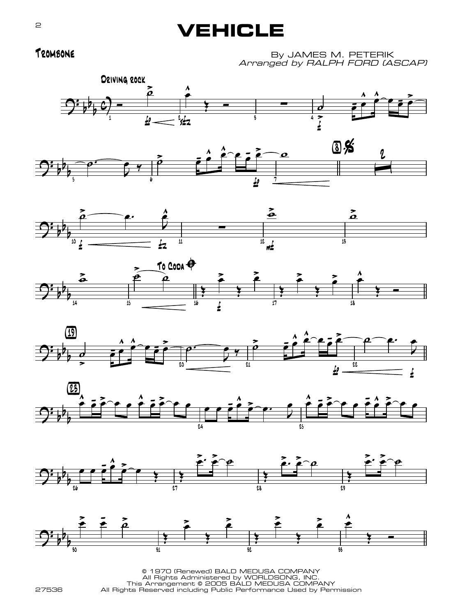## **VEHICLE**

Trombone

By JAMES M. PETERIK Arranged by RALPH FORD (ASCAP)

















© 1970 (Renewed) BALD MEDUSA COMPANY All Rights Administered by WORLDSONG, INC. This Arrangement © 2005 BALD MEDUSA COMPANY All Rights Reserved including Public Performance Used by Permission